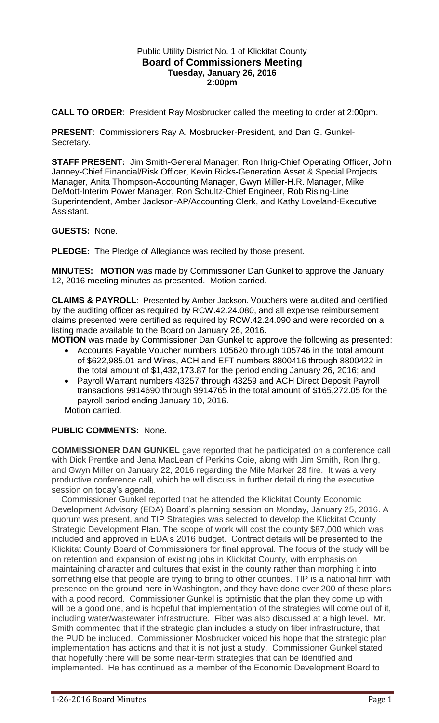## Public Utility District No. 1 of Klickitat County **Board of Commissioners Meeting Tuesday, January 26, 2016 2:00pm**

**CALL TO ORDER**: President Ray Mosbrucker called the meeting to order at 2:00pm.

**PRESENT**: Commissioners Ray A. Mosbrucker-President, and Dan G. Gunkel-Secretary.

**STAFF PRESENT:** Jim Smith-General Manager, Ron Ihrig-Chief Operating Officer, John Janney-Chief Financial/Risk Officer, Kevin Ricks-Generation Asset & Special Projects Manager, Anita Thompson-Accounting Manager, Gwyn Miller-H.R. Manager, Mike DeMott-Interim Power Manager, Ron Schultz-Chief Engineer, Rob Rising-Line Superintendent, Amber Jackson-AP/Accounting Clerk, and Kathy Loveland-Executive Assistant.

## **GUESTS:** None.

**PLEDGE:** The Pledge of Allegiance was recited by those present.

**MINUTES: MOTION** was made by Commissioner Dan Gunkel to approve the January 12, 2016 meeting minutes as presented. Motion carried.

**CLAIMS & PAYROLL**: Presented by Amber Jackson. Vouchers were audited and certified by the auditing officer as required by RCW.42.24.080, and all expense reimbursement claims presented were certified as required by RCW.42.24.090 and were recorded on a listing made available to the Board on January 26, 2016.

**MOTION** was made by Commissioner Dan Gunkel to approve the following as presented:

- Accounts Payable Voucher numbers 105620 through 105746 in the total amount of \$622,985.01 and Wires, ACH and EFT numbers 8800416 through 8800422 in the total amount of \$1,432,173.87 for the period ending January 26, 2016; and
- Payroll Warrant numbers 43257 through 43259 and ACH Direct Deposit Payroll transactions 9914690 through 9914765 in the total amount of \$165,272.05 for the payroll period ending January 10, 2016.

Motion carried.

# **PUBLIC COMMENTS:** None.

**COMMISSIONER DAN GUNKEL** gave reported that he participated on a conference call with Dick Prentke and Jena MacLean of Perkins Coie, along with Jim Smith, Ron Ihrig, and Gwyn Miller on January 22, 2016 regarding the Mile Marker 28 fire. It was a very productive conference call, which he will discuss in further detail during the executive session on today's agenda.

 Commissioner Gunkel reported that he attended the Klickitat County Economic Development Advisory (EDA) Board's planning session on Monday, January 25, 2016. A quorum was present, and TIP Strategies was selected to develop the Klickitat County Strategic Development Plan. The scope of work will cost the county \$87,000 which was included and approved in EDA's 2016 budget. Contract details will be presented to the Klickitat County Board of Commissioners for final approval. The focus of the study will be on retention and expansion of existing jobs in Klickitat County, with emphasis on maintaining character and cultures that exist in the county rather than morphing it into something else that people are trying to bring to other counties. TIP is a national firm with presence on the ground here in Washington, and they have done over 200 of these plans with a good record. Commissioner Gunkel is optimistic that the plan they come up with will be a good one, and is hopeful that implementation of the strategies will come out of it, including water/wastewater infrastructure. Fiber was also discussed at a high level. Mr. Smith commented that if the strategic plan includes a study on fiber infrastructure, that the PUD be included. Commissioner Mosbrucker voiced his hope that the strategic plan implementation has actions and that it is not just a study. Commissioner Gunkel stated that hopefully there will be some near-term strategies that can be identified and implemented. He has continued as a member of the Economic Development Board to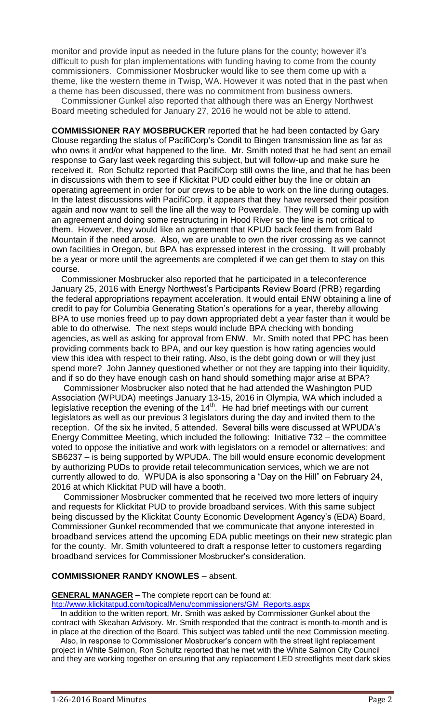monitor and provide input as needed in the future plans for the county; however it's difficult to push for plan implementations with funding having to come from the county commissioners. Commissioner Mosbrucker would like to see them come up with a theme, like the western theme in Twisp, WA. However it was noted that in the past when a theme has been discussed, there was no commitment from business owners.

 Commissioner Gunkel also reported that although there was an Energy Northwest Board meeting scheduled for January 27, 2016 he would not be able to attend.

**COMMISSIONER RAY MOSBRUCKER** reported that he had been contacted by Gary Clouse regarding the status of PacifiCorp's Condit to Bingen transmission line as far as who owns it and/or what happened to the line. Mr. Smith noted that he had sent an email response to Gary last week regarding this subject, but will follow-up and make sure he received it. Ron Schultz reported that PacifiCorp still owns the line, and that he has been in discussions with them to see if Klickitat PUD could either buy the line or obtain an operating agreement in order for our crews to be able to work on the line during outages. In the latest discussions with PacifiCorp, it appears that they have reversed their position again and now want to sell the line all the way to Powerdale. They will be coming up with an agreement and doing some restructuring in Hood River so the line is not critical to them. However, they would like an agreement that KPUD back feed them from Bald Mountain if the need arose. Also, we are unable to own the river crossing as we cannot own facilities in Oregon, but BPA has expressed interest in the crossing. It will probably be a year or more until the agreements are completed if we can get them to stay on this course.

 Commissioner Mosbrucker also reported that he participated in a teleconference January 25, 2016 with Energy Northwest's Participants Review Board (PRB) regarding the federal appropriations repayment acceleration. It would entail ENW obtaining a line of credit to pay for Columbia Generating Station's operations for a year, thereby allowing BPA to use monies freed up to pay down appropriated debt a year faster than it would be able to do otherwise. The next steps would include BPA checking with bonding agencies, as well as asking for approval from ENW. Mr. Smith noted that PPC has been providing comments back to BPA, and our key question is how rating agencies would view this idea with respect to their rating. Also, is the debt going down or will they just spend more? John Janney questioned whether or not they are tapping into their liquidity, and if so do they have enough cash on hand should something major arise at BPA?

 Commissioner Mosbrucker also noted that he had attended the Washington PUD Association (WPUDA) meetings January 13-15, 2016 in Olympia, WA which included a legislative reception the evening of the  $14<sup>th</sup>$ . He had brief meetings with our current legislators as well as our previous 3 legislators during the day and invited them to the reception. Of the six he invited, 5 attended. Several bills were discussed at WPUDA's Energy Committee Meeting, which included the following: Initiative 732 – the committee voted to oppose the initiative and work with legislators on a remodel or alternatives; and SB6237 – is being supported by WPUDA. The bill would ensure economic development by authorizing PUDs to provide retail telecommunication services, which we are not currently allowed to do. WPUDA is also sponsoring a "Day on the Hill" on February 24, 2016 at which Klickitat PUD will have a booth.

 Commissioner Mosbrucker commented that he received two more letters of inquiry and requests for Klickitat PUD to provide broadband services. With this same subject being discussed by the Klickitat County Economic Development Agency's (EDA) Board, Commissioner Gunkel recommended that we communicate that anyone interested in broadband services attend the upcoming EDA public meetings on their new strategic plan for the county. Mr. Smith volunteered to draft a response letter to customers regarding broadband services for Commissioner Mosbrucker's consideration.

### **COMMISSIONER RANDY KNOWLES** – absent.

**GENERAL MANAGER –** The complete report can be found at:

[htp://www.klickitatpud.com/topicalMenu/commissioners/GM\\_Reports.aspx](http://www.klickitatpud.com/topicalMenu/commissioners/GM_Reports.aspx)

 In addition to the written report, Mr. Smith was asked by Commissioner Gunkel about the contract with Skeahan Advisory. Mr. Smith responded that the contract is month-to-month and is in place at the direction of the Board. This subject was tabled until the next Commission meeting.

 Also, in response to Commissioner Mosbrucker's concern with the street light replacement project in White Salmon, Ron Schultz reported that he met with the White Salmon City Council and they are working together on ensuring that any replacement LED streetlights meet dark skies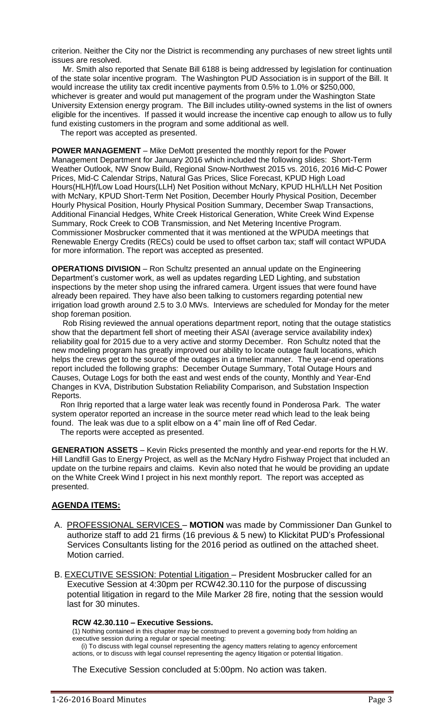criterion. Neither the City nor the District is recommending any purchases of new street lights until issues are resolved.

 Mr. Smith also reported that Senate Bill 6188 is being addressed by legislation for continuation of the state solar incentive program. The Washington PUD Association is in support of the Bill. It would increase the utility tax credit incentive payments from 0.5% to 1.0% or \$250,000, whichever is greater and would put management of the program under the Washington State University Extension energy program. The Bill includes utility-owned systems in the list of owners eligible for the incentives. If passed it would increase the incentive cap enough to allow us to fully fund existing customers in the program and some additional as well.

The report was accepted as presented.

**POWER MANAGEMENT** – Mike DeMott presented the monthly report for the Power Management Department for January 2016 which included the following slides: Short-Term Weather Outlook, NW Snow Build, Regional Snow-Northwest 2015 vs. 2016, 2016 Mid-C Power Prices, Mid-C Calendar Strips, Natural Gas Prices, Slice Forecast, KPUD High Load Hours(HLH)f/Low Load Hours(LLH) Net Position without McNary, KPUD HLH/LLH Net Position with McNary, KPUD Short-Term Net Position, December Hourly Physical Position, December Hourly Physical Position, Hourly Physical Position Summary, December Swap Transactions, Additional Financial Hedges, White Creek Historical Generation, White Creek Wind Expense Summary, Rock Creek to COB Transmission, and Net Metering Incentive Program. Commissioner Mosbrucker commented that it was mentioned at the WPUDA meetings that Renewable Energy Credits (RECs) could be used to offset carbon tax; staff will contact WPUDA for more information. The report was accepted as presented.

**OPERATIONS DIVISION** – Ron Schultz presented an annual update on the Engineering Department's customer work, as well as updates regarding LED Lighting, and substation inspections by the meter shop using the infrared camera. Urgent issues that were found have already been repaired. They have also been talking to customers regarding potential new irrigation load growth around 2.5 to 3.0 MWs. Interviews are scheduled for Monday for the meter shop foreman position.

 Rob Rising reviewed the annual operations department report, noting that the outage statistics show that the department fell short of meeting their ASAI (average service availability index) reliability goal for 2015 due to a very active and stormy December. Ron Schultz noted that the new modeling program has greatly improved our ability to locate outage fault locations, which helps the crews get to the source of the outages in a timelier manner. The year-end operations report included the following graphs: December Outage Summary, Total Outage Hours and Causes, Outage Logs for both the east and west ends of the county, Monthly and Year-End Changes in KVA, Distribution Substation Reliability Comparison, and Substation Inspection Reports.

 Ron Ihrig reported that a large water leak was recently found in Ponderosa Park. The water system operator reported an increase in the source meter read which lead to the leak being found. The leak was due to a split elbow on a 4" main line off of Red Cedar.

The reports were accepted as presented.

**GENERATION ASSETS** – Kevin Ricks presented the monthly and year-end reports for the H.W. Hill Landfill Gas to Energy Project, as well as the McNary Hydro Fishway Project that included an update on the turbine repairs and claims. Kevin also noted that he would be providing an update on the White Creek Wind I project in his next monthly report. The report was accepted as presented.

## **AGENDA ITEMS:**

- A. PROFESSIONAL SERVICES **MOTION** was made by Commissioner Dan Gunkel to authorize staff to add 21 firms (16 previous & 5 new) to Klickitat PUD's Professional Services Consultants listing for the 2016 period as outlined on the attached sheet. Motion carried.
- B. EXECUTIVE SESSION: Potential Litigation President Mosbrucker called for an Executive Session at 4:30pm per RCW42.30.110 for the purpose of discussing potential litigation in regard to the Mile Marker 28 fire, noting that the session would last for 30 minutes.

#### **RCW 42.30.110 – Executive Sessions.**

(1) Nothing contained in this chapter may be construed to prevent a governing body from holding an executive session during a regular or special meeting:

 (i) To discuss with legal counsel representing the agency matters relating to agency enforcement actions, or to discuss with legal counsel representing the agency litigation or potential litigation.

The Executive Session concluded at 5:00pm. No action was taken.